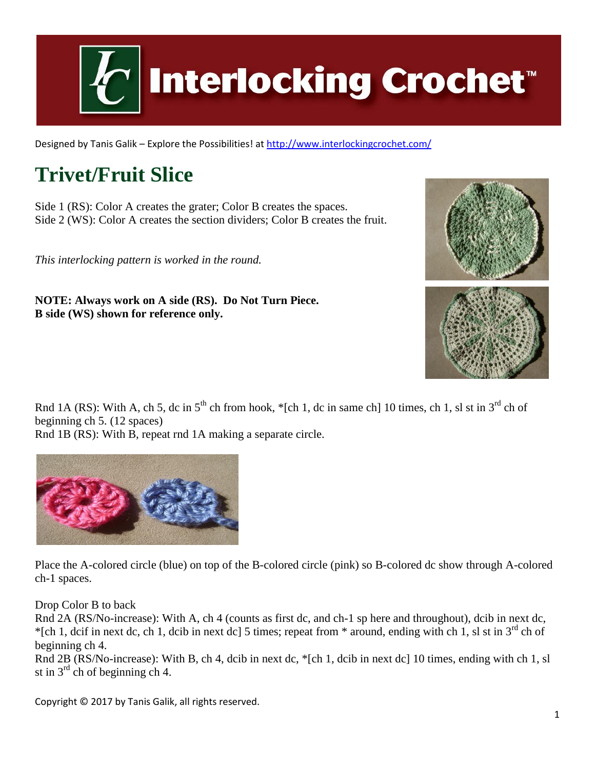

Designed by Tanis Galik – Explore the Possibilities! a[t http://www.interlockingcrochet.com/](http://www.interlockingcrochet.com/)

# **Trivet/Fruit Slice**

Side 1 (RS): Color A creates the grater; Color B creates the spaces. Side 2 (WS): Color A creates the section dividers; Color B creates the fruit.

*This interlocking pattern is worked in the round.*

**NOTE: Always work on A side (RS). Do Not Turn Piece. B side (WS) shown for reference only.**



Rnd 1A (RS): With A, ch 5, dc in  $5<sup>th</sup>$  ch from hook, \*[ch 1, dc in same ch] 10 times, ch 1, sl st in  $3<sup>rd</sup>$  ch of beginning ch 5. (12 spaces)

Rnd 1B (RS): With B, repeat rnd 1A making a separate circle.



Place the A-colored circle (blue) on top of the B-colored circle (pink) so B-colored dc show through A-colored ch-1 spaces.

Drop Color B to back

Rnd 2A (RS/No-increase): With A, ch 4 (counts as first dc, and ch-1 sp here and throughout), dcib in next dc, \*[ch 1, dcif in next dc, ch 1, dcib in next dc] 5 times; repeat from \* around, ending with ch 1, sl st in  $3^{rd}$  ch of beginning ch 4.

Rnd 2B (RS/No-increase): With B, ch 4, dcib in next dc, \*[ch 1, dcib in next dc] 10 times, ending with ch 1, sl st in  $3<sup>rd</sup>$  ch of beginning ch 4.

Copyright © 2017 by Tanis Galik, all rights reserved.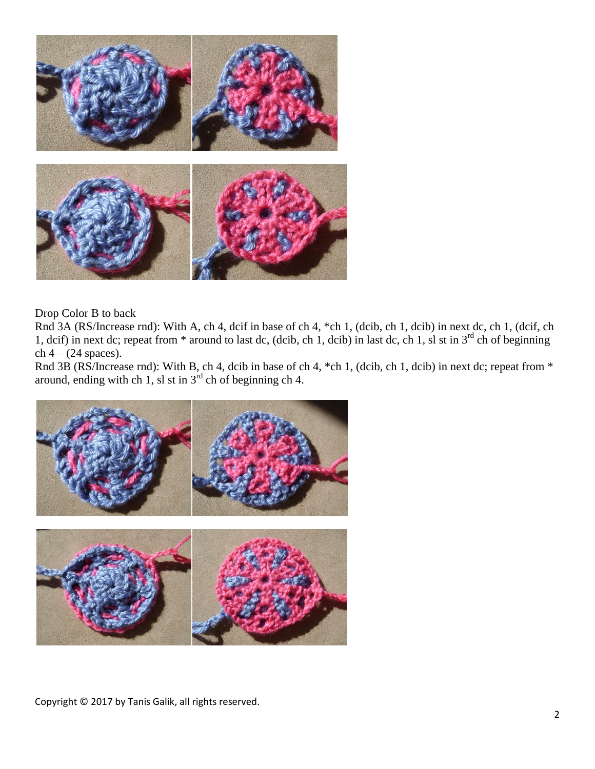

Drop Color B to back

Rnd 3A (RS/Increase rnd): With A, ch 4, dcif in base of ch 4, \*ch 1, (dcib, ch 1, dcib) in next dc, ch 1, (dcif, ch 1, dcif) in next dc; repeat from  $*$  around to last dc, (dcib, ch 1, dcib) in last dc, ch 1, sl st in  $3^{rd}$  ch of beginning  $ch 4 - (24$  spaces).

Rnd 3B (RS/Increase rnd): With B, ch 4, dcib in base of ch 4, \*ch 1, (dcib, ch 1, dcib) in next dc; repeat from \* around, ending with ch 1, sl st in  $3<sup>rd</sup>$  ch of beginning ch 4.



Copyright © 2017 by Tanis Galik, all rights reserved.